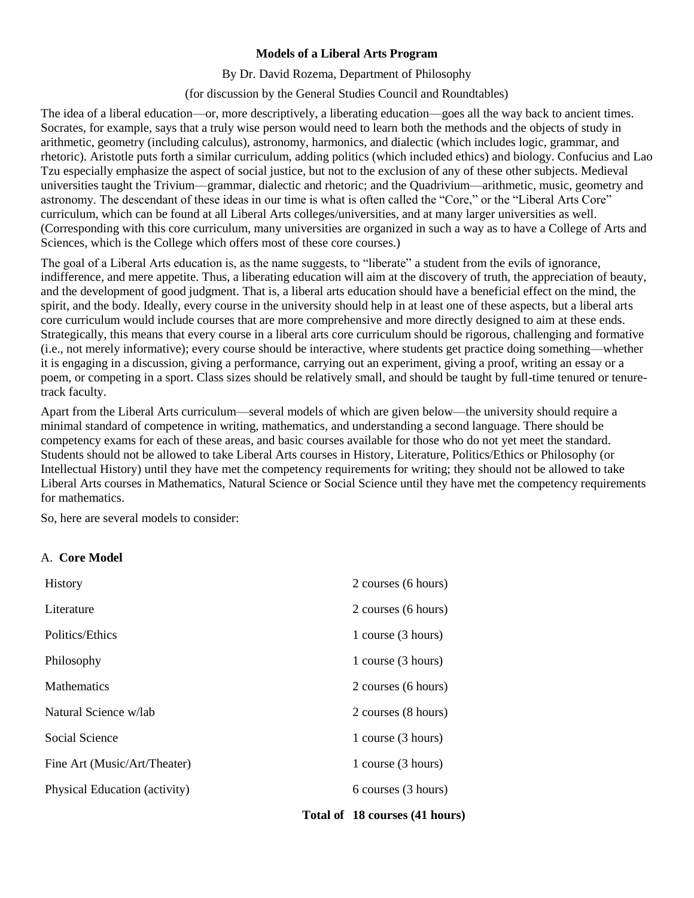# **Models of a Liberal Arts Program**

By Dr. David Rozema, Department of Philosophy

(for discussion by the General Studies Council and Roundtables)

The idea of a liberal education—or, more descriptively, a liberating education—goes all the way back to ancient times. Socrates, for example, says that a truly wise person would need to learn both the methods and the objects of study in arithmetic, geometry (including calculus), astronomy, harmonics, and dialectic (which includes logic, grammar, and rhetoric). Aristotle puts forth a similar curriculum, adding politics (which included ethics) and biology. Confucius and Lao Tzu especially emphasize the aspect of social justice, but not to the exclusion of any of these other subjects. Medieval universities taught the Trivium—grammar, dialectic and rhetoric; and the Quadrivium—arithmetic, music, geometry and astronomy. The descendant of these ideas in our time is what is often called the "Core," or the "Liberal Arts Core" curriculum, which can be found at all Liberal Arts colleges/universities, and at many larger universities as well. (Corresponding with this core curriculum, many universities are organized in such a way as to have a College of Arts and Sciences, which is the College which offers most of these core courses.)

The goal of a Liberal Arts education is, as the name suggests, to "liberate" a student from the evils of ignorance, indifference, and mere appetite. Thus, a liberating education will aim at the discovery of truth, the appreciation of beauty, and the development of good judgment. That is, a liberal arts education should have a beneficial effect on the mind, the spirit, and the body. Ideally, every course in the university should help in at least one of these aspects, but a liberal arts core curriculum would include courses that are more comprehensive and more directly designed to aim at these ends. Strategically, this means that every course in a liberal arts core curriculum should be rigorous, challenging and formative (i.e., not merely informative); every course should be interactive, where students get practice doing something—whether it is engaging in a discussion, giving a performance, carrying out an experiment, giving a proof, writing an essay or a poem, or competing in a sport. Class sizes should be relatively small, and should be taught by full-time tenured or tenuretrack faculty.

Apart from the Liberal Arts curriculum—several models of which are given below—the university should require a minimal standard of competence in writing, mathematics, and understanding a second language. There should be competency exams for each of these areas, and basic courses available for those who do not yet meet the standard. Students should not be allowed to take Liberal Arts courses in History, Literature, Politics/Ethics or Philosophy (or Intellectual History) until they have met the competency requirements for writing; they should not be allowed to take Liberal Arts courses in Mathematics, Natural Science or Social Science until they have met the competency requirements for mathematics.

So, here are several models to consider:

## A. **Core Model**

| <b>History</b>                | 2 courses (6 hours) |
|-------------------------------|---------------------|
| Literature                    | 2 courses (6 hours) |
| Politics/Ethics               | 1 course (3 hours)  |
| Philosophy                    | 1 course (3 hours)  |
| Mathematics                   | 2 courses (6 hours) |
| Natural Science w/lab         | 2 courses (8 hours) |
| Social Science                | 1 course (3 hours)  |
| Fine Art (Music/Art/Theater)  | 1 course (3 hours)  |
| Physical Education (activity) | 6 courses (3 hours) |

## **Total of 18 courses (41 hours)**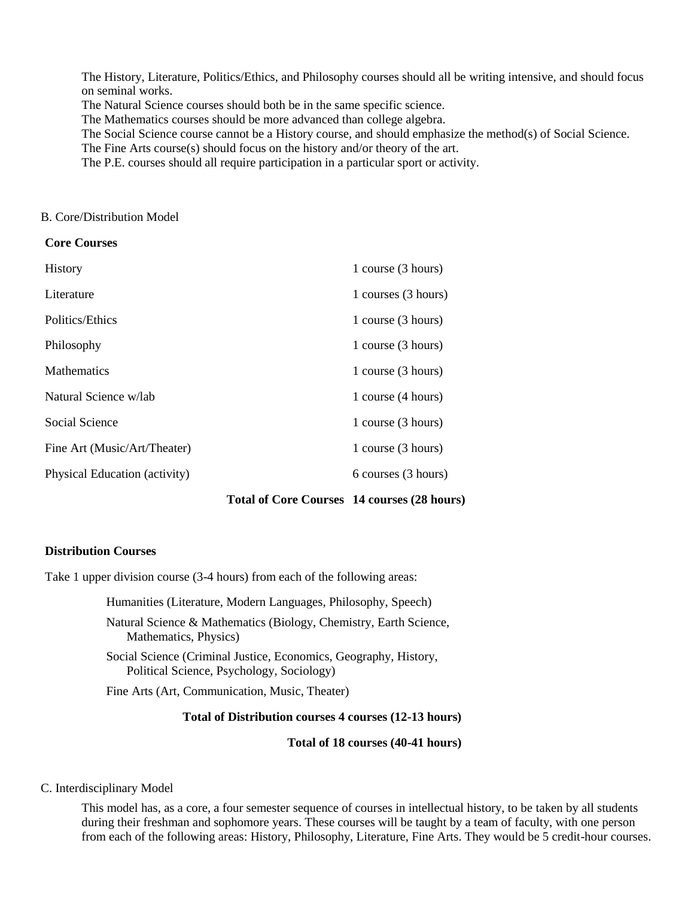The History, Literature, Politics/Ethics, and Philosophy courses should all be writing intensive, and should focus on seminal works.

The Natural Science courses should both be in the same specific science.

The Mathematics courses should be more advanced than college algebra.

The Social Science course cannot be a History course, and should emphasize the method(s) of Social Science.

The Fine Arts course(s) should focus on the history and/or theory of the art.

The P.E. courses should all require participation in a particular sport or activity.

#### B. Core/Distribution Model

## **Core Courses**

| History                       | 1 course (3 hours)  |
|-------------------------------|---------------------|
| Literature                    | 1 courses (3 hours) |
| Politics/Ethics               | 1 course (3 hours)  |
| Philosophy                    | 1 course (3 hours)  |
| <b>Mathematics</b>            | 1 course (3 hours)  |
| Natural Science w/lab         | 1 course (4 hours)  |
| Social Science                | 1 course (3 hours)  |
| Fine Art (Music/Art/Theater)  | 1 course (3 hours)  |
| Physical Education (activity) | 6 courses (3 hours) |
|                               |                     |

## **Total of Core Courses 14 courses (28 hours)**

## **Distribution Courses**

Take 1 upper division course (3-4 hours) from each of the following areas:

Humanities (Literature, Modern Languages, Philosophy, Speech)

Natural Science & Mathematics (Biology, Chemistry, Earth Science, Mathematics, Physics)

Social Science (Criminal Justice, Economics, Geography, History, Political Science, Psychology, Sociology)

Fine Arts (Art, Communication, Music, Theater)

# **Total of Distribution courses 4 courses (12-13 hours)**

**Total of 18 courses (40-41 hours)**

## C. Interdisciplinary Model

This model has, as a core, a four semester sequence of courses in intellectual history, to be taken by all students during their freshman and sophomore years. These courses will be taught by a team of faculty, with one person from each of the following areas: History, Philosophy, Literature, Fine Arts. They would be 5 credit-hour courses.